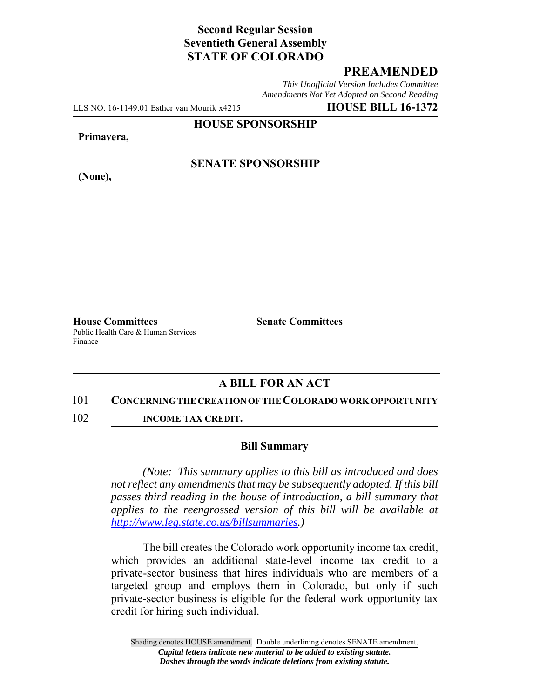# **Second Regular Session Seventieth General Assembly STATE OF COLORADO**

# **PREAMENDED**

*This Unofficial Version Includes Committee Amendments Not Yet Adopted on Second Reading*

LLS NO. 16-1149.01 Esther van Mourik x4215 **HOUSE BILL 16-1372**

**HOUSE SPONSORSHIP**

#### **Primavera,**

**(None),**

## **SENATE SPONSORSHIP**

**House Committees Senate Committees** Public Health Care & Human Services Finance

## **A BILL FOR AN ACT**

#### 101 **CONCERNING THE CREATION OF THE COLORADO WORK OPPORTUNITY**

102 **INCOME TAX CREDIT.**

### **Bill Summary**

*(Note: This summary applies to this bill as introduced and does not reflect any amendments that may be subsequently adopted. If this bill passes third reading in the house of introduction, a bill summary that applies to the reengrossed version of this bill will be available at http://www.leg.state.co.us/billsummaries.)*

The bill creates the Colorado work opportunity income tax credit, which provides an additional state-level income tax credit to a private-sector business that hires individuals who are members of a targeted group and employs them in Colorado, but only if such private-sector business is eligible for the federal work opportunity tax credit for hiring such individual.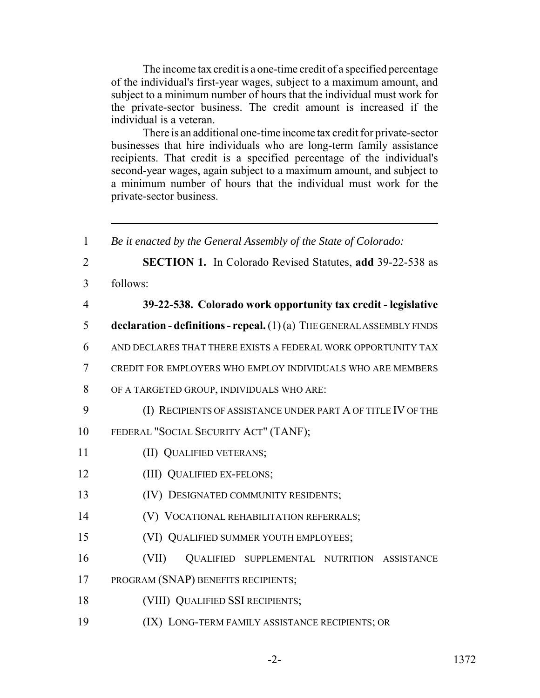The income tax credit is a one-time credit of a specified percentage of the individual's first-year wages, subject to a maximum amount, and subject to a minimum number of hours that the individual must work for the private-sector business. The credit amount is increased if the individual is a veteran.

There is an additional one-time income tax credit for private-sector businesses that hire individuals who are long-term family assistance recipients. That credit is a specified percentage of the individual's second-year wages, again subject to a maximum amount, and subject to a minimum number of hours that the individual must work for the private-sector business.

 *Be it enacted by the General Assembly of the State of Colorado:* **SECTION 1.** In Colorado Revised Statutes, **add** 39-22-538 as 3 follows: **39-22-538. Colorado work opportunity tax credit - legislative declaration - definitions - repeal.** (1) (a) THE GENERAL ASSEMBLY FINDS AND DECLARES THAT THERE EXISTS A FEDERAL WORK OPPORTUNITY TAX CREDIT FOR EMPLOYERS WHO EMPLOY INDIVIDUALS WHO ARE MEMBERS OF A TARGETED GROUP, INDIVIDUALS WHO ARE: (I) RECIPIENTS OF ASSISTANCE UNDER PART A OF TITLE IV OF THE FEDERAL "SOCIAL SECURITY ACT" (TANF); 11 (II) QUALIFIED VETERANS; **(III) QUALIFIED EX-FELONS;**  (IV) DESIGNATED COMMUNITY RESIDENTS; (V) VOCATIONAL REHABILITATION REFERRALS; (VI) QUALIFIED SUMMER YOUTH EMPLOYEES; (VII) QUALIFIED SUPPLEMENTAL NUTRITION ASSISTANCE PROGRAM (SNAP) BENEFITS RECIPIENTS; (VIII) QUALIFIED SSI RECIPIENTS; (IX) LONG-TERM FAMILY ASSISTANCE RECIPIENTS; OR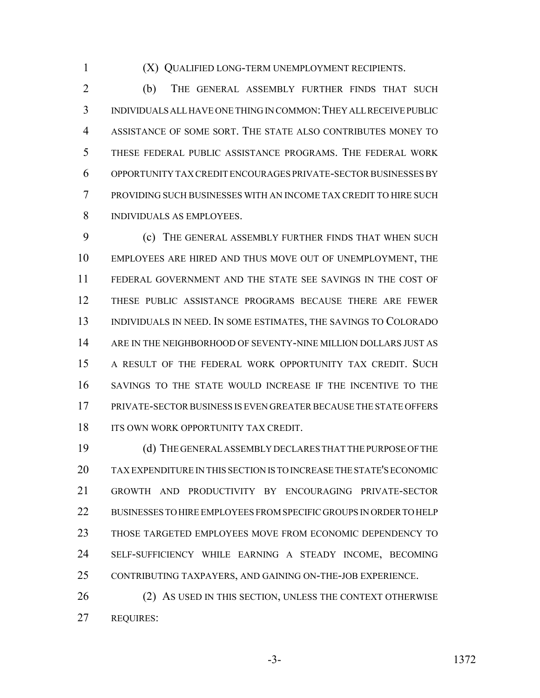(X) QUALIFIED LONG-TERM UNEMPLOYMENT RECIPIENTS.

2 (b) THE GENERAL ASSEMBLY FURTHER FINDS THAT SUCH INDIVIDUALS ALL HAVE ONE THING IN COMMON:THEY ALL RECEIVE PUBLIC ASSISTANCE OF SOME SORT. THE STATE ALSO CONTRIBUTES MONEY TO THESE FEDERAL PUBLIC ASSISTANCE PROGRAMS. THE FEDERAL WORK OPPORTUNITY TAX CREDIT ENCOURAGES PRIVATE-SECTOR BUSINESSES BY PROVIDING SUCH BUSINESSES WITH AN INCOME TAX CREDIT TO HIRE SUCH INDIVIDUALS AS EMPLOYEES.

 (c) THE GENERAL ASSEMBLY FURTHER FINDS THAT WHEN SUCH EMPLOYEES ARE HIRED AND THUS MOVE OUT OF UNEMPLOYMENT, THE FEDERAL GOVERNMENT AND THE STATE SEE SAVINGS IN THE COST OF THESE PUBLIC ASSISTANCE PROGRAMS BECAUSE THERE ARE FEWER INDIVIDUALS IN NEED. IN SOME ESTIMATES, THE SAVINGS TO COLORADO ARE IN THE NEIGHBORHOOD OF SEVENTY-NINE MILLION DOLLARS JUST AS A RESULT OF THE FEDERAL WORK OPPORTUNITY TAX CREDIT. SUCH SAVINGS TO THE STATE WOULD INCREASE IF THE INCENTIVE TO THE PRIVATE-SECTOR BUSINESS IS EVEN GREATER BECAUSE THE STATE OFFERS 18 ITS OWN WORK OPPORTUNITY TAX CREDIT.

 (d) THE GENERAL ASSEMBLY DECLARES THAT THE PURPOSE OF THE TAX EXPENDITURE IN THIS SECTION IS TO INCREASE THE STATE'S ECONOMIC GROWTH AND PRODUCTIVITY BY ENCOURAGING PRIVATE-SECTOR BUSINESSES TO HIRE EMPLOYEES FROM SPECIFIC GROUPS IN ORDER TO HELP THOSE TARGETED EMPLOYEES MOVE FROM ECONOMIC DEPENDENCY TO SELF-SUFFICIENCY WHILE EARNING A STEADY INCOME, BECOMING CONTRIBUTING TAXPAYERS, AND GAINING ON-THE-JOB EXPERIENCE.

26 (2) AS USED IN THIS SECTION, UNLESS THE CONTEXT OTHERWISE REQUIRES: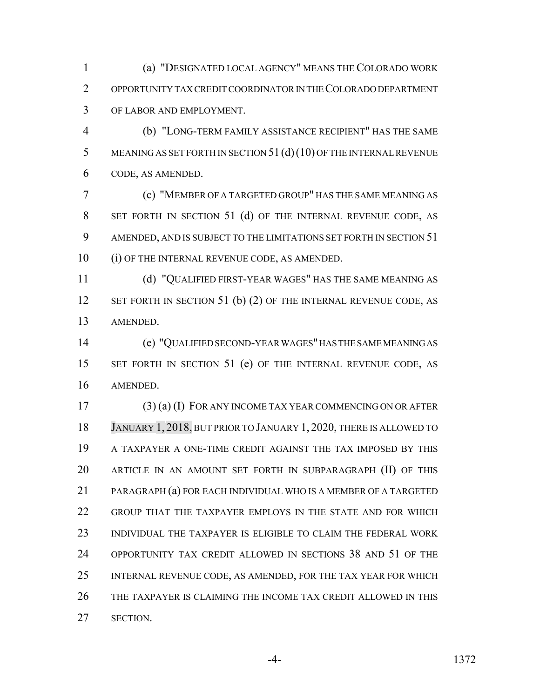(a) "DESIGNATED LOCAL AGENCY" MEANS THE COLORADO WORK OPPORTUNITY TAX CREDIT COORDINATOR IN THE COLORADO DEPARTMENT OF LABOR AND EMPLOYMENT.

 (b) "LONG-TERM FAMILY ASSISTANCE RECIPIENT" HAS THE SAME 5 MEANING AS SET FORTH IN SECTION 51 (d) (10) OF THE INTERNAL REVENUE CODE, AS AMENDED.

 (c) "MEMBER OF A TARGETED GROUP" HAS THE SAME MEANING AS SET FORTH IN SECTION 51 (d) OF THE INTERNAL REVENUE CODE, AS 9 AMENDED, AND IS SUBJECT TO THE LIMITATIONS SET FORTH IN SECTION 51 (i) OF THE INTERNAL REVENUE CODE, AS AMENDED.

 (d) "QUALIFIED FIRST-YEAR WAGES" HAS THE SAME MEANING AS 12 SET FORTH IN SECTION 51 (b) (2) OF THE INTERNAL REVENUE CODE, AS AMENDED.

 (e) "QUALIFIED SECOND-YEAR WAGES" HAS THE SAME MEANING AS 15 SET FORTH IN SECTION 51 (e) OF THE INTERNAL REVENUE CODE, AS AMENDED.

 (3) (a) (I) FOR ANY INCOME TAX YEAR COMMENCING ON OR AFTER JANUARY 1, 2018, BUT PRIOR TO JANUARY 1, 2020, THERE IS ALLOWED TO A TAXPAYER A ONE-TIME CREDIT AGAINST THE TAX IMPOSED BY THIS ARTICLE IN AN AMOUNT SET FORTH IN SUBPARAGRAPH (II) OF THIS PARAGRAPH (a) FOR EACH INDIVIDUAL WHO IS A MEMBER OF A TARGETED GROUP THAT THE TAXPAYER EMPLOYS IN THE STATE AND FOR WHICH INDIVIDUAL THE TAXPAYER IS ELIGIBLE TO CLAIM THE FEDERAL WORK OPPORTUNITY TAX CREDIT ALLOWED IN SECTIONS 38 AND 51 OF THE INTERNAL REVENUE CODE, AS AMENDED, FOR THE TAX YEAR FOR WHICH THE TAXPAYER IS CLAIMING THE INCOME TAX CREDIT ALLOWED IN THIS SECTION.

-4- 1372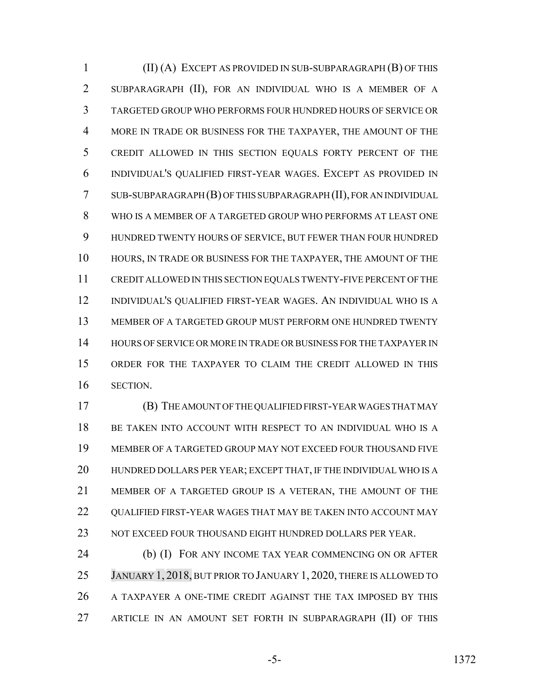(II) (A) EXCEPT AS PROVIDED IN SUB-SUBPARAGRAPH (B) OF THIS SUBPARAGRAPH (II), FOR AN INDIVIDUAL WHO IS A MEMBER OF A TARGETED GROUP WHO PERFORMS FOUR HUNDRED HOURS OF SERVICE OR MORE IN TRADE OR BUSINESS FOR THE TAXPAYER, THE AMOUNT OF THE CREDIT ALLOWED IN THIS SECTION EQUALS FORTY PERCENT OF THE INDIVIDUAL'S QUALIFIED FIRST-YEAR WAGES. EXCEPT AS PROVIDED IN SUB-SUBPARAGRAPH (B) OF THIS SUBPARAGRAPH (II), FOR AN INDIVIDUAL WHO IS A MEMBER OF A TARGETED GROUP WHO PERFORMS AT LEAST ONE HUNDRED TWENTY HOURS OF SERVICE, BUT FEWER THAN FOUR HUNDRED HOURS, IN TRADE OR BUSINESS FOR THE TAXPAYER, THE AMOUNT OF THE CREDIT ALLOWED IN THIS SECTION EQUALS TWENTY-FIVE PERCENT OF THE INDIVIDUAL'S QUALIFIED FIRST-YEAR WAGES. AN INDIVIDUAL WHO IS A MEMBER OF A TARGETED GROUP MUST PERFORM ONE HUNDRED TWENTY HOURS OF SERVICE OR MORE IN TRADE OR BUSINESS FOR THE TAXPAYER IN ORDER FOR THE TAXPAYER TO CLAIM THE CREDIT ALLOWED IN THIS SECTION.

 (B) THE AMOUNT OF THE QUALIFIED FIRST-YEAR WAGES THAT MAY BE TAKEN INTO ACCOUNT WITH RESPECT TO AN INDIVIDUAL WHO IS A MEMBER OF A TARGETED GROUP MAY NOT EXCEED FOUR THOUSAND FIVE HUNDRED DOLLARS PER YEAR; EXCEPT THAT, IF THE INDIVIDUAL WHO IS A MEMBER OF A TARGETED GROUP IS A VETERAN, THE AMOUNT OF THE 22 QUALIFIED FIRST-YEAR WAGES THAT MAY BE TAKEN INTO ACCOUNT MAY NOT EXCEED FOUR THOUSAND EIGHT HUNDRED DOLLARS PER YEAR.

**(b) (I) FOR ANY INCOME TAX YEAR COMMENCING ON OR AFTER**  JANUARY 1, 2018, BUT PRIOR TO JANUARY 1, 2020, THERE IS ALLOWED TO A TAXPAYER A ONE-TIME CREDIT AGAINST THE TAX IMPOSED BY THIS ARTICLE IN AN AMOUNT SET FORTH IN SUBPARAGRAPH (II) OF THIS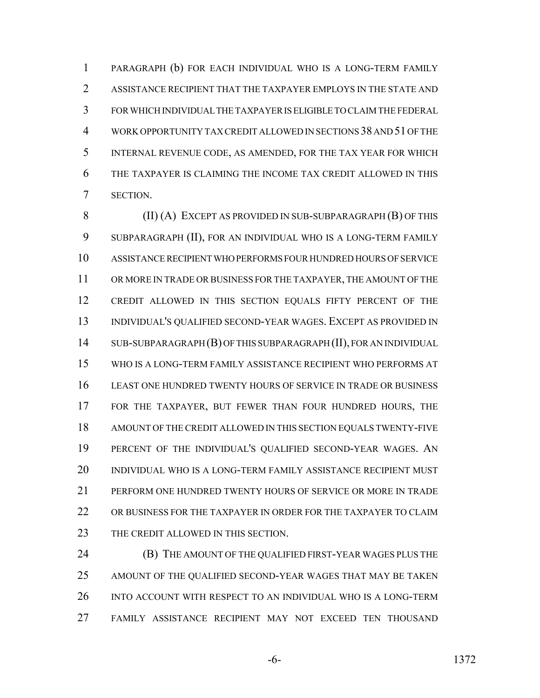PARAGRAPH (b) FOR EACH INDIVIDUAL WHO IS A LONG-TERM FAMILY ASSISTANCE RECIPIENT THAT THE TAXPAYER EMPLOYS IN THE STATE AND FOR WHICH INDIVIDUAL THE TAXPAYER IS ELIGIBLE TO CLAIM THE FEDERAL WORK OPPORTUNITY TAX CREDIT ALLOWED IN SECTIONS 38 AND 51 OF THE INTERNAL REVENUE CODE, AS AMENDED, FOR THE TAX YEAR FOR WHICH THE TAXPAYER IS CLAIMING THE INCOME TAX CREDIT ALLOWED IN THIS SECTION.

8 (II) (A) EXCEPT AS PROVIDED IN SUB-SUBPARAGRAPH (B) OF THIS SUBPARAGRAPH (II), FOR AN INDIVIDUAL WHO IS A LONG-TERM FAMILY ASSISTANCE RECIPIENT WHO PERFORMS FOUR HUNDRED HOURS OF SERVICE OR MORE IN TRADE OR BUSINESS FOR THE TAXPAYER, THE AMOUNT OF THE CREDIT ALLOWED IN THIS SECTION EQUALS FIFTY PERCENT OF THE INDIVIDUAL'S QUALIFIED SECOND-YEAR WAGES. EXCEPT AS PROVIDED IN SUB-SUBPARAGRAPH (B) OF THIS SUBPARAGRAPH (II), FOR AN INDIVIDUAL WHO IS A LONG-TERM FAMILY ASSISTANCE RECIPIENT WHO PERFORMS AT LEAST ONE HUNDRED TWENTY HOURS OF SERVICE IN TRADE OR BUSINESS FOR THE TAXPAYER, BUT FEWER THAN FOUR HUNDRED HOURS, THE AMOUNT OF THE CREDIT ALLOWED IN THIS SECTION EQUALS TWENTY-FIVE PERCENT OF THE INDIVIDUAL'S QUALIFIED SECOND-YEAR WAGES. AN INDIVIDUAL WHO IS A LONG-TERM FAMILY ASSISTANCE RECIPIENT MUST PERFORM ONE HUNDRED TWENTY HOURS OF SERVICE OR MORE IN TRADE OR BUSINESS FOR THE TAXPAYER IN ORDER FOR THE TAXPAYER TO CLAIM 23 THE CREDIT ALLOWED IN THIS SECTION.

 (B) THE AMOUNT OF THE QUALIFIED FIRST-YEAR WAGES PLUS THE AMOUNT OF THE QUALIFIED SECOND-YEAR WAGES THAT MAY BE TAKEN INTO ACCOUNT WITH RESPECT TO AN INDIVIDUAL WHO IS A LONG-TERM FAMILY ASSISTANCE RECIPIENT MAY NOT EXCEED TEN THOUSAND

-6- 1372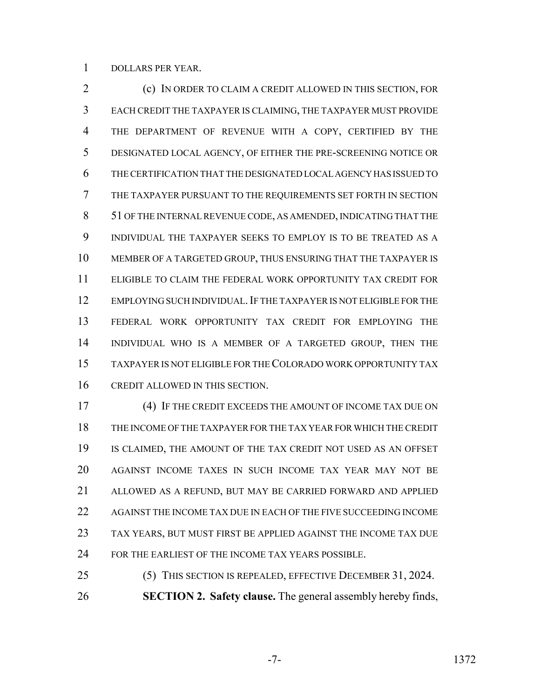DOLLARS PER YEAR.

 (c) IN ORDER TO CLAIM A CREDIT ALLOWED IN THIS SECTION, FOR EACH CREDIT THE TAXPAYER IS CLAIMING, THE TAXPAYER MUST PROVIDE THE DEPARTMENT OF REVENUE WITH A COPY, CERTIFIED BY THE DESIGNATED LOCAL AGENCY, OF EITHER THE PRE-SCREENING NOTICE OR THE CERTIFICATION THAT THE DESIGNATED LOCAL AGENCY HAS ISSUED TO THE TAXPAYER PURSUANT TO THE REQUIREMENTS SET FORTH IN SECTION 51 OF THE INTERNAL REVENUE CODE, AS AMENDED, INDICATING THAT THE INDIVIDUAL THE TAXPAYER SEEKS TO EMPLOY IS TO BE TREATED AS A MEMBER OF A TARGETED GROUP, THUS ENSURING THAT THE TAXPAYER IS ELIGIBLE TO CLAIM THE FEDERAL WORK OPPORTUNITY TAX CREDIT FOR 12 EMPLOYING SUCH INDIVIDUAL. IF THE TAXPAYER IS NOT ELIGIBLE FOR THE FEDERAL WORK OPPORTUNITY TAX CREDIT FOR EMPLOYING THE INDIVIDUAL WHO IS A MEMBER OF A TARGETED GROUP, THEN THE TAXPAYER IS NOT ELIGIBLE FOR THE COLORADO WORK OPPORTUNITY TAX CREDIT ALLOWED IN THIS SECTION.

 (4) IF THE CREDIT EXCEEDS THE AMOUNT OF INCOME TAX DUE ON THE INCOME OF THE TAXPAYER FOR THE TAX YEAR FOR WHICH THE CREDIT IS CLAIMED, THE AMOUNT OF THE TAX CREDIT NOT USED AS AN OFFSET AGAINST INCOME TAXES IN SUCH INCOME TAX YEAR MAY NOT BE ALLOWED AS A REFUND, BUT MAY BE CARRIED FORWARD AND APPLIED AGAINST THE INCOME TAX DUE IN EACH OF THE FIVE SUCCEEDING INCOME TAX YEARS, BUT MUST FIRST BE APPLIED AGAINST THE INCOME TAX DUE FOR THE EARLIEST OF THE INCOME TAX YEARS POSSIBLE.

 (5) THIS SECTION IS REPEALED, EFFECTIVE DECEMBER 31, 2024. **SECTION 2. Safety clause.** The general assembly hereby finds,